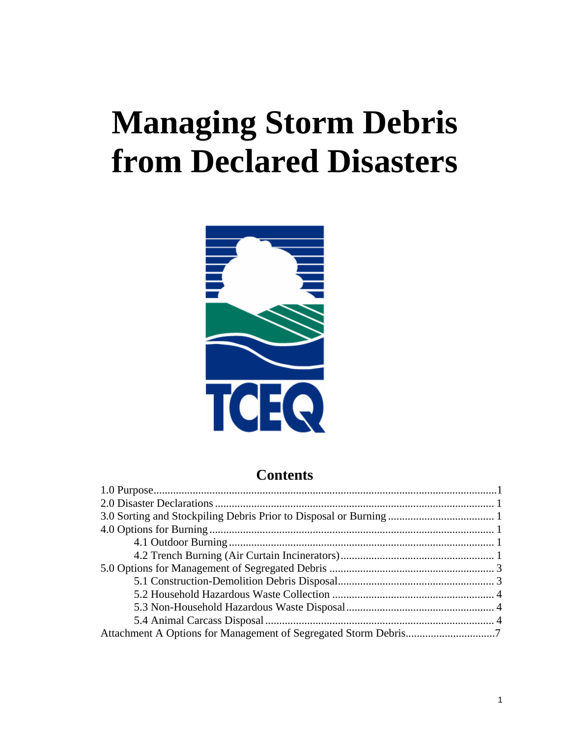# **Managing Storm Debris from Declared Disasters**



## **Contents**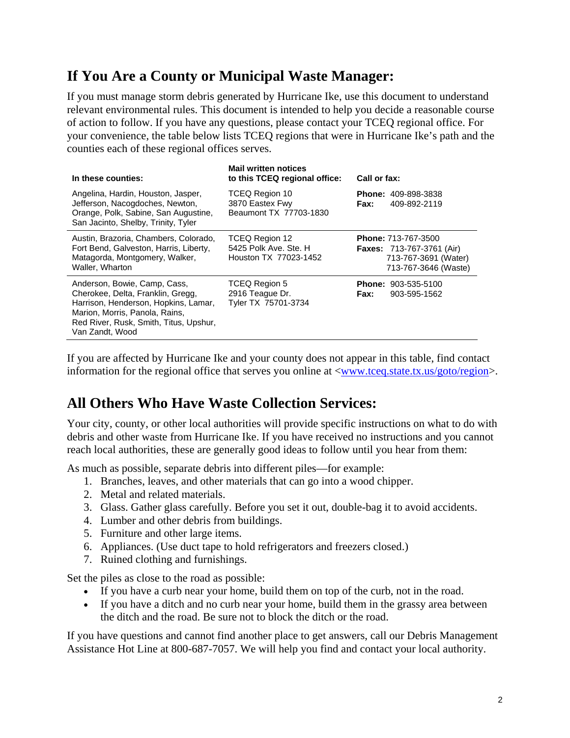## **If You Are a County or Municipal Waste Manager:**

If you must manage storm debris generated by Hurricane Ike, use this document to understand relevant environmental rules. This document is intended to help you decide a reasonable course of action to follow. If you have any questions, please contact your TCEQ regional office. For your convenience, the table below lists TCEQ regions that were in Hurricane Ike's path and the counties each of these regional offices serves.

| In these counties:                                                                                                                                                                                       | <b>Mail written notices</b><br>to this TCEQ regional office:     | Call or fax:                                                                                                   |
|----------------------------------------------------------------------------------------------------------------------------------------------------------------------------------------------------------|------------------------------------------------------------------|----------------------------------------------------------------------------------------------------------------|
| Angelina, Hardin, Houston, Jasper,<br>Jefferson, Nacogdoches, Newton,<br>Orange, Polk, Sabine, San Augustine,<br>San Jacinto, Shelby, Trinity, Tyler                                                     | TCEQ Region 10<br>3870 Eastex Fwy<br>Beaumont TX 77703-1830      | <b>Phone: 409-898-3838</b><br>Fax:<br>409-892-2119                                                             |
| Austin, Brazoria, Chambers, Colorado,<br>Fort Bend, Galveston, Harris, Liberty,<br>Matagorda, Montgomery, Walker,<br>Waller, Wharton                                                                     | TCEQ Region 12<br>5425 Polk Ave. Ste. H<br>Houston TX 77023-1452 | <b>Phone: 713-767-3500</b><br><b>Faxes: 713-767-3761 (Air)</b><br>713-767-3691 (Water)<br>713-767-3646 (Waste) |
| Anderson, Bowie, Camp, Cass,<br>Cherokee, Delta, Franklin, Gregg,<br>Harrison, Henderson, Hopkins, Lamar,<br>Marion, Morris, Panola, Rains,<br>Red River, Rusk, Smith, Titus, Upshur,<br>Van Zandt, Wood | TCEQ Region 5<br>2916 Teague Dr.<br>Tyler TX 75701-3734          | <b>Phone: 903-535-5100</b><br>Fax:<br>903-595-1562                                                             |

If you are affected by Hurricane Ike and your county does not appear in this table, find contact information for the regional office that serves you online at [<www.tceq.state.tx.us/goto/region](http://www.tceq.state.tx.us/goto/region/)>.

## **All Others Who Have Waste Collection Services:**

Your city, county, or other local authorities will provide specific instructions on what to do with debris and other waste from Hurricane Ike. If you have received no instructions and you cannot reach local authorities, these are generally good ideas to follow until you hear from them:

As much as possible, separate debris into different piles—for example:

- 1. Branches, leaves, and other materials that can go into a wood chipper.
- 2. Metal and related materials.
- 3. Glass. Gather glass carefully. Before you set it out, double-bag it to avoid accidents.
- 4. Lumber and other debris from buildings.
- 5. Furniture and other large items.
- 6. Appliances. (Use duct tape to hold refrigerators and freezers closed.)
- 7. Ruined clothing and furnishings.

Set the piles as close to the road as possible:

- If you have a curb near your home, build them on top of the curb, not in the road.
- If you have a ditch and no curb near your home, build them in the grassy area between the ditch and the road. Be sure not to block the ditch or the road.

If you have questions and cannot find another place to get answers, call our Debris Management Assistance Hot Line at 800-687-7057. We will help you find and contact your local authority.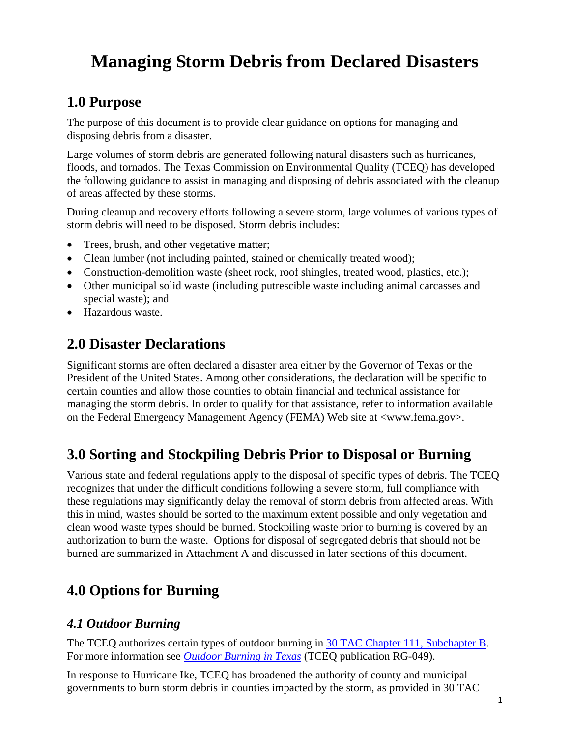## <span id="page-2-0"></span>**Managing Storm Debris from Declared Disasters**

## **1.0 Purpose**

The purpose of this document is to provide clear guidance on options for managing and disposing debris from a disaster.

Large volumes of storm debris are generated following natural disasters such as hurricanes, floods, and tornados. The Texas Commission on Environmental Quality (TCEQ) has developed the following guidance to assist in managing and disposing of debris associated with the cleanup of areas affected by these storms.

During cleanup and recovery efforts following a severe storm, large volumes of various types of storm debris will need to be disposed. Storm debris includes:

- Trees, brush, and other vegetative matter;
- Clean lumber (not including painted, stained or chemically treated wood);
- Construction-demolition waste (sheet rock, roof shingles, treated wood, plastics, etc.);
- Other municipal solid waste (including putrescible waste including animal carcasses and special waste); and
- Hazardous waste.

## **2.0 Disaster Declarations**

Significant storms are often declared a disaster area either by the Governor of Texas or the President of the United States. Among other considerations, the declaration will be specific to certain counties and allow those counties to obtain financial and technical assistance for managing the storm debris. In order to qualify for that assistance, refer to information available on the Federal Emergency Management Agency (FEMA) Web site at <www.fema.gov>.

## **3.0 Sorting and Stockpiling Debris Prior to Disposal or Burning**

Various state and federal regulations apply to the disposal of specific types of debris. The TCEQ recognizes that under the difficult conditions following a severe storm, full compliance with these regulations may significantly delay the removal of storm debris from affected areas. With this in mind, wastes should be sorted to the maximum extent possible and only vegetation and clean wood waste types should be burned. Stockpiling waste prior to burning is covered by an authorization to burn the waste. Options for disposal of segregated debris that should not be burned are summarized in Attachment A and discussed in later sections of this document.

## **4.0 Options for Burning**

#### *4.1 Outdoor Burning*

The TCEQ authorizes certain types of outdoor burning in [30 TAC Chapter 111, Subchapter B.](http://www.tceq.state.tx.us/assets/public/legal/rules/rules/pdflib/111b.pdf) For more information see *[Outdoor Burning in Texas](http://www.tceq.state.tx.us/files/rg-049.pdf_4351377.pdf)* (TCEQ publication RG-049).

In response to Hurricane Ike, TCEQ has broadened the authority of county and municipal governments to burn storm debris in counties impacted by the storm, as provided in 30 TAC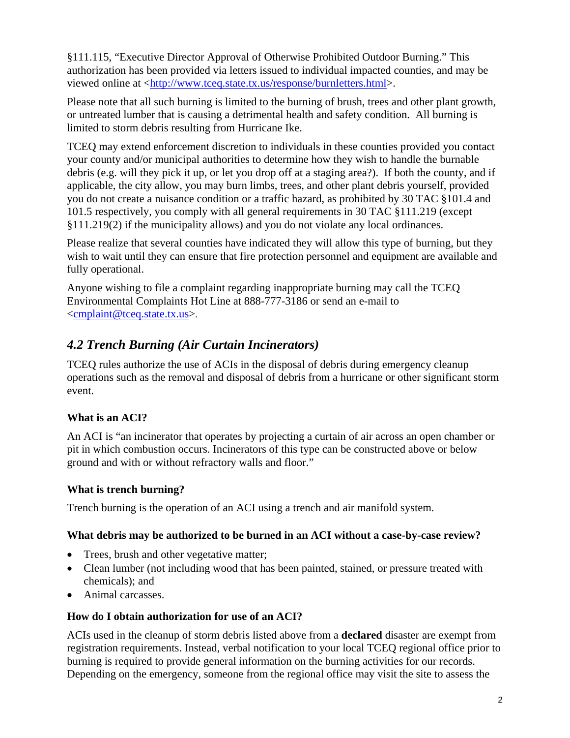<span id="page-3-0"></span>§111.115, "Executive Director Approval of Otherwise Prohibited Outdoor Burning." This authorization has been provided via letters issued to individual impacted counties, and may be viewed online at [<http://www.tceq.state.tx.us/response/burnletters.html](http://www.tceq.state.tx.us/response/burnletters.html)>.

Please note that all such burning is limited to the burning of brush, trees and other plant growth, or untreated lumber that is causing a detrimental health and safety condition. All burning is limited to storm debris resulting from Hurricane Ike.

TCEQ may extend enforcement discretion to individuals in these counties provided you contact your county and/or municipal authorities to determine how they wish to handle the burnable debris (e.g. will they pick it up, or let you drop off at a staging area?). If both the county, and if applicable, the city allow, you may burn limbs, trees, and other plant debris yourself, provided you do not create a nuisance condition or a traffic hazard, as prohibited by 30 TAC §101.4 and 101.5 respectively, you comply with all general requirements in 30 TAC §111.219 (except §111.219(2) if the municipality allows) and you do not violate any local ordinances.

Please realize that several counties have indicated they will allow this type of burning, but they wish to wait until they can ensure that fire protection personnel and equipment are available and fully operational.

Anyone wishing to file a complaint regarding inappropriate burning may call the TCEQ Environmental Complaints Hot Line at 888-777-3186 or send an e-mail to <[cmplaint@tceq.state.tx.us>](mailto:CMPLAINT@tceq.state.tx.us).

## *4.2 Trench Burning (Air Curtain Incinerators)*

TCEQ rules authorize the use of ACIs in the disposal of debris during emergency cleanup operations such as the removal and disposal of debris from a hurricane or other significant storm event.

#### **What is an ACI?**

An ACI is "an incinerator that operates by projecting a curtain of air across an open chamber or pit in which combustion occurs. Incinerators of this type can be constructed above or below ground and with or without refractory walls and floor."

#### **What is trench burning?**

Trench burning is the operation of an ACI using a trench and air manifold system.

#### **What debris may be authorized to be burned in an ACI without a case-by-case review?**

- Trees, brush and other vegetative matter;
- Clean lumber (not including wood that has been painted, stained, or pressure treated with chemicals); and
- Animal carcasses.

#### **How do I obtain authorization for use of an ACI?**

ACIs used in the cleanup of storm debris listed above from a **declared** disaster are exempt from registration requirements. Instead, verbal notification to your local TCEQ regional office prior to burning is required to provide general information on the burning activities for our records. Depending on the emergency, someone from the regional office may visit the site to assess the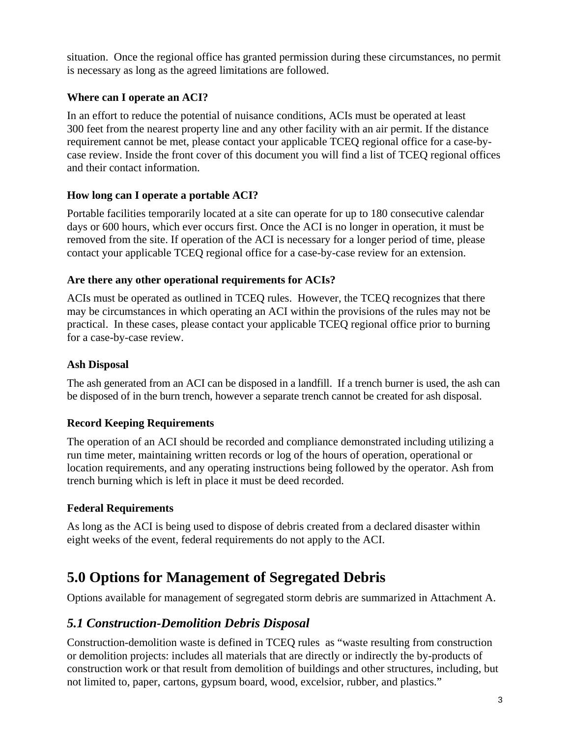<span id="page-4-0"></span>situation. Once the regional office has granted permission during these circumstances, no permit is necessary as long as the agreed limitations are followed.

#### **Where can I operate an ACI?**

In an effort to reduce the potential of nuisance conditions, ACIs must be operated at least 300 feet from the nearest property line and any other facility with an air permit. If the distance requirement cannot be met, please contact your applicable TCEQ regional office for a case-bycase review. Inside the front cover of this document you will find a list of TCEQ regional offices and their contact information.

#### **How long can I operate a portable ACI?**

Portable facilities temporarily located at a site can operate for up to 180 consecutive calendar days or 600 hours, which ever occurs first. Once the ACI is no longer in operation, it must be removed from the site. If operation of the ACI is necessary for a longer period of time, please contact your applicable TCEQ regional office for a case-by-case review for an extension.

#### **Are there any other operational requirements for ACIs?**

ACIs must be operated as outlined in TCEQ rules. However, the TCEQ recognizes that there may be circumstances in which operating an ACI within the provisions of the rules may not be practical. In these cases, please contact your applicable TCEQ regional office prior to burning for a case-by-case review.

#### **Ash Disposal**

The ash generated from an ACI can be disposed in a landfill. If a trench burner is used, the ash can be disposed of in the burn trench, however a separate trench cannot be created for ash disposal.

#### **Record Keeping Requirements**

The operation of an ACI should be recorded and compliance demonstrated including utilizing a run time meter, maintaining written records or log of the hours of operation, operational or location requirements, and any operating instructions being followed by the operator. Ash from trench burning which is left in place it must be deed recorded.

#### **Federal Requirements**

As long as the ACI is being used to dispose of debris created from a declared disaster within eight weeks of the event, federal requirements do not apply to the ACI.

## **5.0 Options for Management of Segregated Debris**

Options available for management of segregated storm debris are summarized in Attachment A.

#### *5.1 Construction-Demolition Debris Disposal*

Construction-demolition waste is defined in TCEQ rules as "waste resulting from construction or demolition projects: includes all materials that are directly or indirectly the by-products of construction work or that result from demolition of buildings and other structures, including, but not limited to, paper, cartons, gypsum board, wood, excelsior, rubber, and plastics."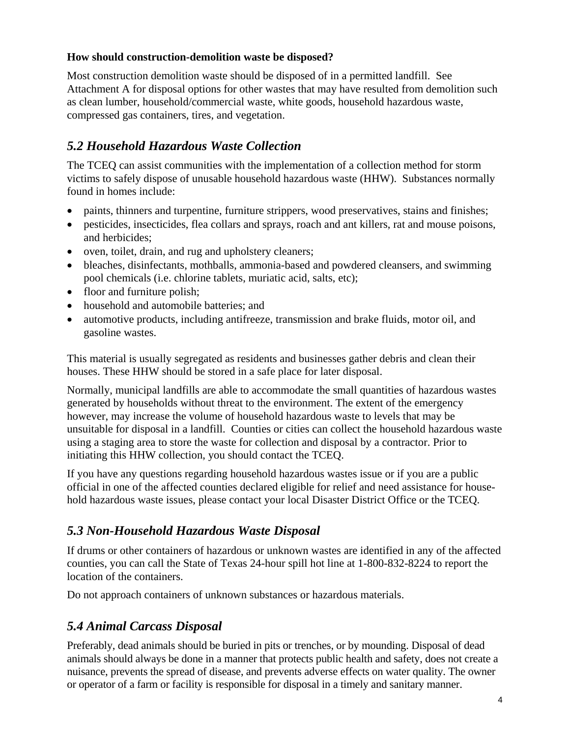#### <span id="page-5-0"></span>**How should construction-demolition waste be disposed?**

Most construction demolition waste should be disposed of in a permitted landfill. See Attachment A for disposal options for other wastes that may have resulted from demolition such as clean lumber, household/commercial waste, white goods, household hazardous waste, compressed gas containers, tires, and vegetation.

#### *5.2 Household Hazardous Waste Collection*

The TCEQ can assist communities with the implementation of a collection method for storm victims to safely dispose of unusable household hazardous waste (HHW). Substances normally found in homes include:

- paints, thinners and turpentine, furniture strippers, wood preservatives, stains and finishes;
- pesticides, insecticides, flea collars and sprays, roach and ant killers, rat and mouse poisons, and herbicides;
- oven, toilet, drain, and rug and upholstery cleaners;
- bleaches, disinfectants, mothballs, ammonia-based and powdered cleansers, and swimming pool chemicals (i.e. chlorine tablets, muriatic acid, salts, etc);
- floor and furniture polish;
- household and automobile batteries; and
- automotive products, including antifreeze, transmission and brake fluids, motor oil, and gasoline wastes.

This material is usually segregated as residents and businesses gather debris and clean their houses. These HHW should be stored in a safe place for later disposal.

Normally, municipal landfills are able to accommodate the small quantities of hazardous wastes generated by households without threat to the environment. The extent of the emergency however, may increase the volume of household hazardous waste to levels that may be unsuitable for disposal in a landfill. Counties or cities can collect the household hazardous waste using a staging area to store the waste for collection and disposal by a contractor. Prior to initiating this HHW collection, you should contact the TCEQ.

If you have any questions regarding household hazardous wastes issue or if you are a public official in one of the affected counties declared eligible for relief and need assistance for household hazardous waste issues, please contact your local Disaster District Office or the TCEQ.

#### *5.3 Non-Household Hazardous Waste Disposal*

If drums or other containers of hazardous or unknown wastes are identified in any of the affected counties, you can call the State of Texas 24-hour spill hot line at 1-800-832-8224 to report the location of the containers.

Do not approach containers of unknown substances or hazardous materials.

### *5.4 Animal Carcass Disposal*

Preferably, dead animals should be buried in pits or trenches, or by mounding. Disposal of dead animals should always be done in a manner that protects public health and safety, does not create a nuisance, prevents the spread of disease, and prevents adverse effects on water quality. The owner or operator of a farm or facility is responsible for disposal in a timely and sanitary manner.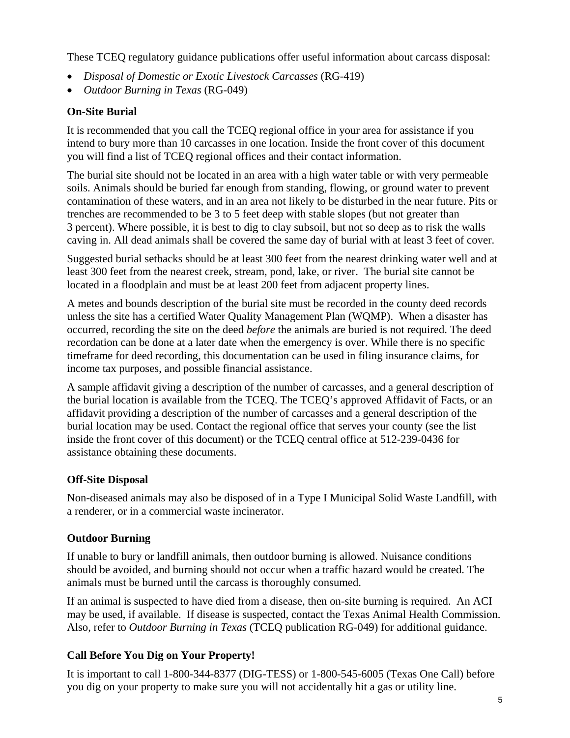These TCEQ regulatory guidance publications offer useful information about carcass disposal:

- *Disposal of Domestic or Exotic Livestock Carcasses* (RG-419)
- *Outdoor Burning in Texas* (RG-049)

#### **On-Site Burial**

It is recommended that you call the TCEQ regional office in your area for assistance if you intend to bury more than 10 carcasses in one location. Inside the front cover of this document you will find a list of TCEQ regional offices and their contact information.

The burial site should not be located in an area with a high water table or with very permeable soils. Animals should be buried far enough from standing, flowing, or ground water to prevent contamination of these waters, and in an area not likely to be disturbed in the near future. Pits or trenches are recommended to be 3 to 5 feet deep with stable slopes (but not greater than 3 percent). Where possible, it is best to dig to clay subsoil, but not so deep as to risk the walls caving in. All dead animals shall be covered the same day of burial with at least 3 feet of cover.

Suggested burial setbacks should be at least 300 feet from the nearest drinking water well and at least 300 feet from the nearest creek, stream, pond, lake, or river. The burial site cannot be located in a floodplain and must be at least 200 feet from adjacent property lines.

A metes and bounds description of the burial site must be recorded in the county deed records unless the site has a certified Water Quality Management Plan (WQMP). When a disaster has occurred, recording the site on the deed *before* the animals are buried is not required. The deed recordation can be done at a later date when the emergency is over. While there is no specific timeframe for deed recording, this documentation can be used in filing insurance claims, for income tax purposes, and possible financial assistance.

A sample affidavit giving a description of the number of carcasses, and a general description of the burial location is available from the TCEQ. The TCEQ's approved Affidavit of Facts, or an affidavit providing a description of the number of carcasses and a general description of the burial location may be used. Contact the regional office that serves your county (see the list inside the front cover of this document) or the TCEQ central office at 512-239-0436 for assistance obtaining these documents.

#### **Off-Site Disposal**

Non-diseased animals may also be disposed of in a Type I Municipal Solid Waste Landfill, with a renderer, or in a commercial waste incinerator.

#### **Outdoor Burning**

If unable to bury or landfill animals, then outdoor burning is allowed. Nuisance conditions should be avoided, and burning should not occur when a traffic hazard would be created. The animals must be burned until the carcass is thoroughly consumed.

If an animal is suspected to have died from a disease, then on-site burning is required. An ACI may be used, if available. If disease is suspected, contact the Texas Animal Health Commission. Also, refer to *Outdoor Burning in Texas* (TCEQ publication RG-049) for additional guidance.

#### **Call Before You Dig on Your Property!**

It is important to call 1-800-344-8377 (DIG-TESS) or 1-800-545-6005 (Texas One Call) before you dig on your property to make sure you will not accidentally hit a gas or utility line.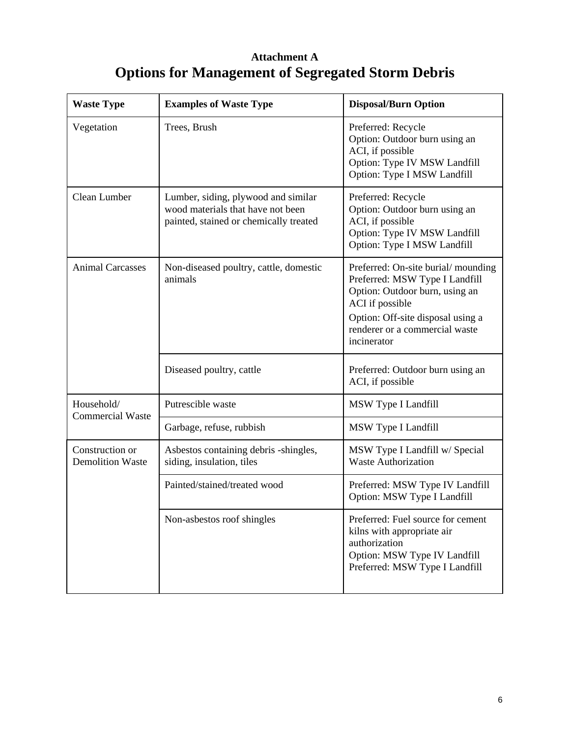## **Attachment A Options for Management of Segregated Storm Debris**

| <b>Waste Type</b>                          | <b>Examples of Waste Type</b>                                                                                      | <b>Disposal/Burn Option</b>                                                                                                                                                                                     |
|--------------------------------------------|--------------------------------------------------------------------------------------------------------------------|-----------------------------------------------------------------------------------------------------------------------------------------------------------------------------------------------------------------|
| Vegetation                                 | Trees, Brush                                                                                                       | Preferred: Recycle<br>Option: Outdoor burn using an<br>ACI, if possible<br>Option: Type IV MSW Landfill<br>Option: Type I MSW Landfill                                                                          |
| Clean Lumber                               | Lumber, siding, plywood and similar<br>wood materials that have not been<br>painted, stained or chemically treated | Preferred: Recycle<br>Option: Outdoor burn using an<br>ACI, if possible<br>Option: Type IV MSW Landfill<br>Option: Type I MSW Landfill                                                                          |
| <b>Animal Carcasses</b>                    | Non-diseased poultry, cattle, domestic<br>animals                                                                  | Preferred: On-site burial/mounding<br>Preferred: MSW Type I Landfill<br>Option: Outdoor burn, using an<br>ACI if possible<br>Option: Off-site disposal using a<br>renderer or a commercial waste<br>incinerator |
|                                            | Diseased poultry, cattle                                                                                           | Preferred: Outdoor burn using an<br>ACI, if possible                                                                                                                                                            |
| Household/<br><b>Commercial Waste</b>      | Putrescible waste                                                                                                  | MSW Type I Landfill                                                                                                                                                                                             |
|                                            | Garbage, refuse, rubbish                                                                                           | MSW Type I Landfill                                                                                                                                                                                             |
| Construction or<br><b>Demolition Waste</b> | Asbestos containing debris -shingles,<br>siding, insulation, tiles                                                 | MSW Type I Landfill w/ Special<br><b>Waste Authorization</b>                                                                                                                                                    |
|                                            | Painted/stained/treated wood                                                                                       | Preferred: MSW Type IV Landfill<br>Option: MSW Type I Landfill                                                                                                                                                  |
|                                            | Non-asbestos roof shingles                                                                                         | Preferred: Fuel source for cement<br>kilns with appropriate air<br>authorization<br>Option: MSW Type IV Landfill<br>Preferred: MSW Type I Landfill                                                              |